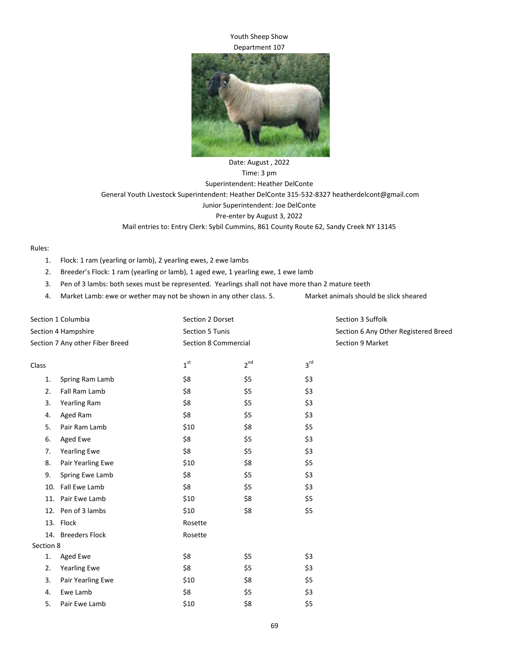## Youth Sheep Show Department 107



Date: August , 2022 Time: 3 pm Superintendent: Heather DelConte General Youth Livestock Superintendent: Heather DelConte 315-532-8327 heatherdelcont@gmail.com Junior Superintendent: Joe DelConte Pre-enter by August 3, 2022 Mail entries to: Entry Clerk: Sybil Cummins, 861 County Route 62, Sandy Creek NY 13145

Rules:

- 1. Flock: 1 ram (yearling or lamb), 2 yearling ewes, 2 ewe lambs
- 2. Breeder's Flock: 1 ram (yearling or lamb), 1 aged ewe, 1 yearling ewe, 1 ewe lamb
- 3. Pen of 3 lambs: both sexes must be represented. Yearlings shall not have more than 2 mature teeth
- 4. Market Lamb: ewe or wether may not be shown in any other class. 5. Market animals should be slick sheared

| Section 1 Columbia              |                       | Section 2 Dorset            |          |                 | Section 3 Suffolk                    |  |
|---------------------------------|-----------------------|-----------------------------|----------|-----------------|--------------------------------------|--|
| Section 4 Hampshire             |                       | Section 5 Tunis             |          |                 | Section 6 Any Other Registered Breed |  |
| Section 7 Any other Fiber Breed |                       | <b>Section 8 Commercial</b> |          |                 | Section 9 Market                     |  |
| Class                           |                       | 1 <sup>st</sup>             | $2^{nd}$ | 3 <sup>rd</sup> |                                      |  |
| 1.                              | Spring Ram Lamb       | \$8                         | \$5      | \$3             |                                      |  |
| 2.                              | Fall Ram Lamb         | \$8                         | \$5      | \$3             |                                      |  |
| 3.                              | <b>Yearling Ram</b>   | \$8                         | \$5      | \$3             |                                      |  |
| 4.                              | Aged Ram              | \$8                         | \$5      | \$3             |                                      |  |
| 5.                              | Pair Ram Lamb         | \$10                        | \$8      | \$5             |                                      |  |
| 6.                              | Aged Ewe              | \$8                         | \$5      | \$3             |                                      |  |
| 7.                              | <b>Yearling Ewe</b>   | \$8                         | \$5      | \$3             |                                      |  |
| 8.                              | Pair Yearling Ewe     | \$10                        | \$8      | \$5             |                                      |  |
| 9.                              | Spring Ewe Lamb       | \$8                         | \$5      | \$3             |                                      |  |
|                                 | 10. Fall Ewe Lamb     | \$8                         | \$5      | \$3             |                                      |  |
|                                 | 11. Pair Ewe Lamb     | \$10                        | \$8      | \$5             |                                      |  |
|                                 | 12. Pen of 3 lambs    | \$10                        | \$8      | \$5             |                                      |  |
|                                 | 13. Flock             | Rosette                     |          |                 |                                      |  |
| 14.                             | <b>Breeders Flock</b> | Rosette                     |          |                 |                                      |  |
| Section 8                       |                       |                             |          |                 |                                      |  |
| 1.                              | Aged Ewe              | \$8                         | \$5      | \$3             |                                      |  |
| 2.                              | <b>Yearling Ewe</b>   | \$8                         | \$5      | \$3             |                                      |  |
| 3.                              | Pair Yearling Ewe     | \$10                        | \$8      | \$5             |                                      |  |
| 4.                              | Ewe Lamb              | \$8                         | \$5      | \$3             |                                      |  |
| 5.                              | Pair Ewe Lamb         | \$10                        | \$8      | \$5             |                                      |  |